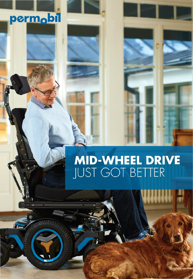## permobil

**In** 

# **MID-WHEEL DRIVE**<br>JUST GOT BETTER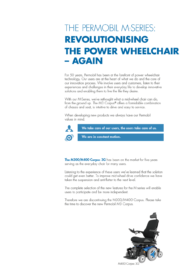### THE PERMOBIL M-SERIES: **REVOLUTIONISING THE POWER WHEELCHAIR** - AGAIN

For 50 years, Permobil has been at the forefront of power wheelchair technology. Our users are at the heart of what we do and the core of our innovation process. We involve users and customers, listen to their experiences and challenges in their everyday life to develop innovative solutions and enabling them to live the life they desire.

With our M-Series, we've rethought what a mid-wheel chair can do, from the ground up. The M3 Corpus® offers a formidable combination of chassis and seat, is intuitive to drive and easy to service.

When developing new products we always have our Permobil values in mind.



We take care of our users, the users take care of us.

We are in constant motion.

The M300/M400 Corpus 3G has been on the market for five years serving as the everyday chair for many users.

Listening to the experience of these users we've learned that the solution could get even better. To improve mid-wheel drive confidence we have taken the suspension and anti-flutter to the next level.

The complete selection of the new features for the M-series will enable users to participate and be more independent.

Therefore we are discontinuing the M300/M400 Corpus. Please take the time to discover the new Permobil M3 Corpus.

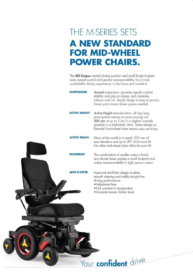#### THE M-SERIES SETS **A NEW STANDARD FOR MID-WHEEL POWER CHAIRS.**

The M3 Corpus central driving position and small footprint gives users natural control and greater manoeuvrability, for a more comfortable driving experience, in the home and outside it.

**SUSPENSION** Smooth suspension: provides superb comfort, stability and grip on slopes and obstacles, indoors and out. Simple design is easy to service. Fewer parts means fewer spares needed. **ACTIVE HEIGHT** Active Height seat elevation: all day long participation means no more missing out. 300 mm at up to 5 km/h is highest currently possible in a mid-wheel chair. Same design as Permobil front-wheel drive means easy servicing. **ACTIVE REACH** More of the world is in reach 300 mm of seat elevation and up to 20° of forward tilt. No other mid-wheel chair offers forward tilt. **FOOTPRINT** The combination of smaller castor wheels and shorter base creates a small footprint and makes manoeuvrability in tight spaces easier. **ANTI-FLUTTER** Improved anti-flutter design enables smooth steering and stable straight-line driving performance. · Adiustment free. . Not sensitive to temperature. · Accurate known friction level.

Your confident drive